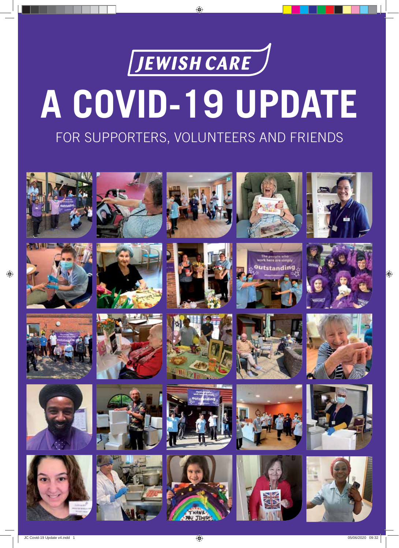

# **A COVID-19 UPDATE**

### FOR SUPPORTERS, VOLUNTEERS AND FRIENDS

















































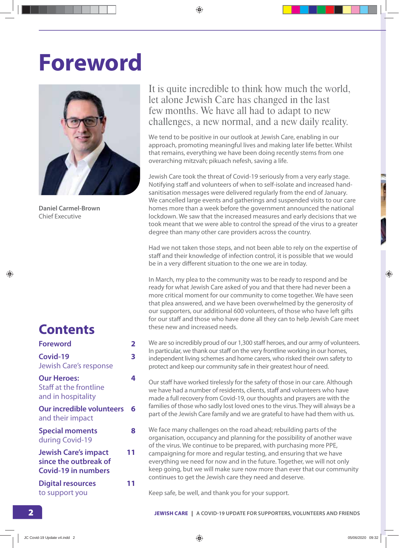### **Foreword**



**Daniel Carmel-Brown** Chief Executive

#### **Contents**

| Foreword                                                                           | 2  |
|------------------------------------------------------------------------------------|----|
| Covid-19<br><b>Jewish Care's response</b>                                          | 3  |
| <b>Our Heroes:</b><br>Staff at the frontline<br>and in hospitality                 | 4  |
| <b>Our incredible volunteers</b><br>and their impact                               | 6  |
| <b>Special moments</b><br>during Covid-19                                          | 8  |
| <b>Jewish Care's impact</b><br>since the outbreak of<br><b>Covid-19 in numbers</b> | 11 |
| <b>Digital resources</b><br>to support you                                         | 11 |

#### It is quite incredible to think how much the world, let alone Jewish Care has changed in the last few months. We have all had to adapt to new challenges, a new normal, and a new daily reality.

We tend to be positive in our outlook at Jewish Care, enabling in our approach, promoting meaningful lives and making later life better. Whilst that remains, everything we have been doing recently stems from one overarching mitzvah; pikuach nefesh, saving a life.

Jewish Care took the threat of Covid-19 seriously from a very early stage. Notifying staff and volunteers of when to self-isolate and increased handsanitisation messages were delivered regularly from the end of January. We cancelled large events and gatherings and suspended visits to our care homes more than a week before the government announced the national lockdown. We saw that the increased measures and early decisions that we took meant that we were able to control the spread of the virus to a greater degree than many other care providers across the country.

Had we not taken those steps, and not been able to rely on the expertise of staff and their knowledge of infection control, it is possible that we would be in a very different situation to the one we are in today.

In March, my plea to the community was to be ready to respond and be ready for what Jewish Care asked of you and that there had never been a more critical moment for our community to come together. We have seen that plea answered, and we have been overwhelmed by the generosity of our supporters, our additional 600 volunteers, of those who have left gifts for our staff and those who have done all they can to help Jewish Care meet these new and increased needs.

We are so incredibly proud of our 1,300 staff heroes, and our army of volunteers. In particular, we thank our staff on the very frontline working in our homes, independent living schemes and home carers, who risked their own safety to protect and keep our community safe in their greatest hour of need.

Our staff have worked tirelessly for the safety of those in our care. Although we have had a number of residents, clients, staff and volunteers who have made a full recovery from Covid-19, our thoughts and prayers are with the families of those who sadly lost loved ones to the virus. They will always be a part of the Jewish Care family and we are grateful to have had them with us.

We face many challenges on the road ahead; rebuilding parts of the organisation, occupancy and planning for the possibility of another wave of the virus. We continue to be prepared, with purchasing more PPE, campaigning for more and regular testing, and ensuring that we have everything we need for now and in the future. Together, we will not only keep going, but we will make sure now more than ever that our community continues to get the Jewish care they need and deserve.

Keep safe, be well, and thank you for your support.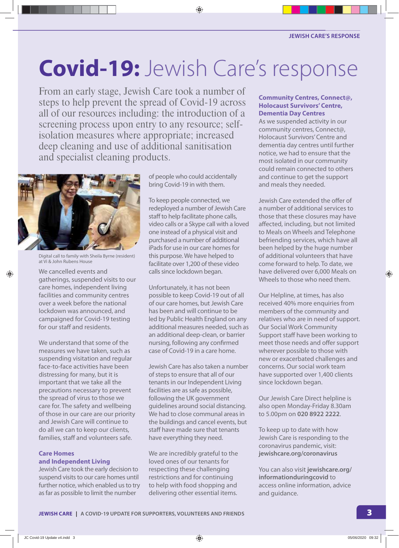# **Covid-19:** Jewish Care's response

From an early stage, Jewish Care took a number of steps to help prevent the spread of Covid-19 across all of our resources including: the introduction of a screening process upon entry to any resource; selfisolation measures where appropriate; increased deep cleaning and use of additional sanitisation and specialist cleaning products.



Digital call to family with Sheila Byrne (resident) at Vi & John Rubens House

We cancelled events and gatherings, suspended visits to our care homes, independent living facilities and community centres over a week before the national lockdown was announced, and campaigned for Covid-19 testing for our staff and residents.

We understand that some of the measures we have taken, such as suspending visitation and regular face-to-face activities have been distressing for many, but it is important that we take all the precautions necessary to prevent the spread of virus to those we care for. The safety and wellbeing of those in our care are our priority and Jewish Care will continue to do all we can to keep our clients, families, staff and volunteers safe.

#### **Care Homes and Independent Living**

Jewish Care took the early decision to suspend visits to our care homes until further notice, which enabled us to try as far as possible to limit the number

of people who could accidentally bring Covid-19 in with them.

To keep people connected, we redeployed a number of Jewish Care staff to help facilitate phone calls, video calls or a Skype call with a loved one instead of a physical visit and purchased a number of additional iPads for use in our care homes for this purpose. We have helped to facilitate over 1,200 of these video calls since lockdown began.

Unfortunately, it has not been possible to keep Covid-19 out of all of our care homes, but Jewish Care has been and will continue to be led by Public Health England on any additional measures needed, such as an additional deep-clean, or barrier nursing, following any confirmed case of Covid-19 in a care home.

Jewish Care has also taken a number of steps to ensure that all of our tenants in our Independent Living facilities are as safe as possible, following the UK government guidelines around social distancing. We had to close communal areas in the buildings and cancel events, but staff have made sure that tenants have everything they need.

We are incredibly grateful to the loved ones of our tenants for respecting these challenging restrictions and for continuing to help with food shopping and delivering other essential items.

#### **Community Centres, Connect@, Holocaust Survivors' Centre, Dementia Day Centres**

As we suspended activity in our community centres, Connect@, Holocaust Survivors' Centre and dementia day centres until further notice, we had to ensure that the most isolated in our community could remain connected to others and continue to get the support and meals they needed.

Jewish Care extended the offer of a number of additional services to those that these closures may have affected, including, but not limited to Meals on Wheels and Telephone befriending services, which have all been helped by the huge number of additional volunteers that have come forward to help. To date, we have delivered over 6,000 Meals on Wheels to those who need them.

Our Helpline, at times, has also received 40% more enquiries from members of the community and relatives who are in need of support. Our Social Work Community Support staff have been working to meet those needs and offer support wherever possible to those with new or exacerbated challenges and concerns. Our social work team have supported over 1,400 clients since lockdown began.

Our Jewish Care Direct helpline is also open Monday-Friday 8.30am to 5.00pm on **020 8922 2222**.

To keep up to date with how Jewish Care is responding to the coronavirus pandemic, visit: **jewishcare.org/coronavirus**

You can also visit **jewishcare.org/ informationduringcovid** to access online information, advice and guidance.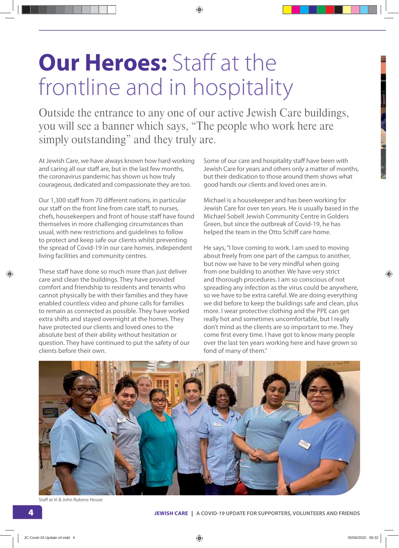### **Our Heroes:** Staff at the frontline and in hospitality

Outside the entrance to any one of our active Jewish Care buildings, you will see a banner which says, "The people who work here are simply outstanding" and they truly are.

At Jewish Care, we have always known how hard working and caring all our staff are, but in the last few months, the coronavirus pandemic has shown us how truly courageous, dedicated and compassionate they are too.

Our 1,300 staff from 70 different nations, in particular our staff on the front line from care staff, to nurses, chefs, housekeepers and front of house staff have found themselves in more challenging circumstances than usual, with new restrictions and guidelines to follow to protect and keep safe our clients whilst preventing the spread of Covid-19 in our care homes, independent living facilities and community centres.

These staff have done so much more than just deliver care and clean the buildings. They have provided comfort and friendship to residents and tenants who cannot physically be with their families and they have enabled countless video and phone calls for families to remain as connected as possible. They have worked extra shifts and stayed overnight at the homes. They have protected our clients and loved ones to the absolute best of their ability without hesitation or question. They have continued to put the safety of our clients before their own.

Some of our care and hospitality staff have been with Jewish Care for years and others only a matter of months, but their dedication to those around them shows what good hands our clients and loved ones are in.

Michael is a housekeeper and has been working for Jewish Care for over ten years. He is usually based in the Michael Sobell Jewish Community Centre in Golders Green, but since the outbreak of Covid-19, he has helped the team in the Otto Schiff care home.

He says, "I love coming to work. I am used to moving about freely from one part of the campus to another, but now we have to be very mindful when going from one building to another. We have very strict and thorough procedures. I am so conscious of not spreading any infection as the virus could be anywhere, so we have to be extra careful. We are doing everything we did before to keep the buildings safe and clean, plus more. I wear protective clothing and the PPE can get really hot and sometimes uncomfortable, but I really don't mind as the clients are so important to me. They come first every time. I have got to know many people over the last ten years working here and have grown so fond of many of them."



Staff at Vi & John Rubens House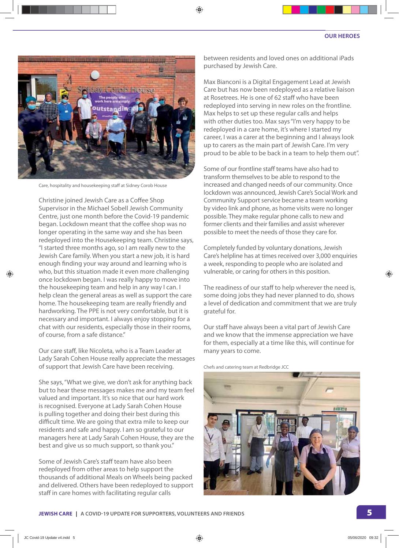

Care, hospitality and housekeeping staff at Sidney Corob House

Christine joined Jewish Care as a Coffee Shop Supervisor in the Michael Sobell Jewish Community Centre, just one month before the Covid-19 pandemic began. Lockdown meant that the coffee shop was no longer operating in the same way and she has been redeployed into the Housekeeping team. Christine says, "I started three months ago, so I am really new to the Jewish Care family. When you start a new job, it is hard enough finding your way around and learning who is who, but this situation made it even more challenging once lockdown began. I was really happy to move into the housekeeping team and help in any way I can. I help clean the general areas as well as support the care home. The housekeeping team are really friendly and hardworking. The PPE is not very comfortable, but it is necessary and important. I always enjoy stopping for a chat with our residents, especially those in their rooms, of course, from a safe distance"

Our care staff, like Nicoleta, who is a Team Leader at Lady Sarah Cohen House really appreciate the messages of support that Jewish Care have been receiving.

She says, "What we give, we don't ask for anything back but to hear these messages makes me and my team feel valued and important. It's so nice that our hard work is recognised. Everyone at Lady Sarah Cohen House is pulling together and doing their best during this difficult time. We are going that extra mile to keep our residents and safe and happy. I am so grateful to our managers here at Lady Sarah Cohen House, they are the best and give us so much support, so thank you."

Some of Jewish Care's staff team have also been redeployed from other areas to help support the thousands of additional Meals on Wheels being packed and delivered. Others have been redeployed to support staff in care homes with facilitating regular calls

between residents and loved ones on additional iPads purchased by Jewish Care.

Max Bianconi is a Digital Engagement Lead at Jewish Care but has now been redeployed as a relative liaison at Rosetrees. He is one of 62 staff who have been redeployed into serving in new roles on the frontline. Max helps to set up these regular calls and helps with other duties too. Max says "I'm very happy to be redeployed in a care home, it's where I started my career, I was a carer at the beginning and I always look up to carers as the main part of Jewish Care. I'm very proud to be able to be back in a team to help them out".

Some of our frontline staff teams have also had to transform themselves to be able to respond to the increased and changed needs of our community. Once lockdown was announced, Jewish Care's Social Work and Community Support service became a team working by video link and phone, as home visits were no longer possible. They make regular phone calls to new and former clients and their families and assist wherever possible to meet the needs of those they care for.

Completely funded by voluntary donations, Jewish Care's helpline has at times received over 3,000 enquiries a week, responding to people who are isolated and vulnerable, or caring for others in this position.

The readiness of our staff to help wherever the need is, some doing jobs they had never planned to do, shows a level of dedication and commitment that we are truly grateful for.

Our staff have always been a vital part of Jewish Care and we know that the immense appreciation we have for them, especially at a time like this, will continue for many years to come.

Chefs and catering team at Redbridge JCC

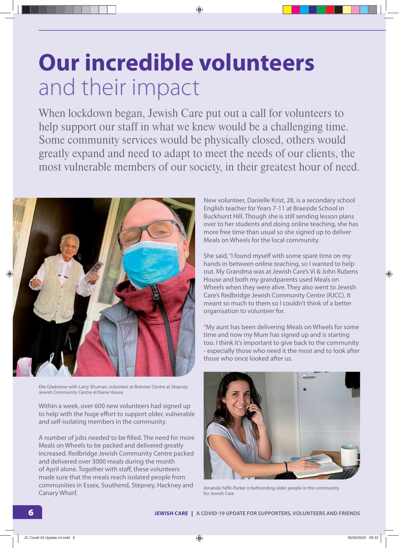### **Our incredible volunteers**  and their impact

When lockdown began, Jewish Care put out a call for volunteers to help support our staff in what we knew would be a challenging time. Some community services would be physically closed, others would greatly expand and need to adapt to meet the needs of our clients, the most vulnerable members of our society, in their greatest hour of need.



Elie Gladstone with Larry Shuman, volunteer at Brenner Centre at Stepney Jewish Community Centre at Raine House

Within a week, over 600 new volunteers had signed up to help with the huge effort to support older, vulnerable and self-isolating members in the community.

A number of jobs needed to be filled. The need for more Meals on Wheels to be packed and delivered greatly increased. Redbridge Jewish Community Centre packed and delivered over 3000 meals during the month of April alone. Together with staff, these volunteers made sure that the meals reach isolated people from communities in Essex, Southend, Stepney, Hackney and Canary Wharf.

New volunteer, Danielle Krist, 28, is a secondary school English teacher for Years 7-11 at Braeside School in Buckhurst Hill. Though she is still sending lesson plans over to her students and doing online teaching, she has more free time than usual so she signed up to deliver Meals on Wheels for the local community.

She said, "I found myself with some spare time on my hands in between online teaching, so I wanted to help out. My Grandma was at Jewish Care's Vi & John Rubens House and both my grandparents used Meals on Wheels when they were alive. They also went to Jewish Care's Redbridge Jewish Community Centre (RJCC). It meant so much to them so I couldn't think of a better organisation to volunteer for.

"My aunt has been delivering Meals on Wheels for some time and now my Mum has signed up and is starting too. I think it's important to give back to the community - especially those who need it the most and to look after those who once looked after us.



Amanda Yaffe-Parker is befriending older people in the community for Jewish Care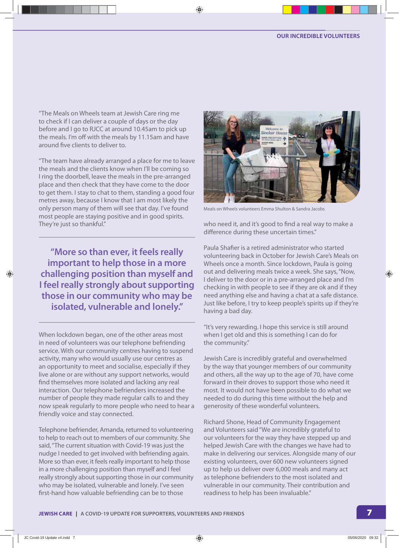"The Meals on Wheels team at Jewish Care ring me to check if I can deliver a couple of days or the day before and I go to RJCC at around 10.45am to pick up the meals. I'm off with the meals by 11.15am and have around five clients to deliver to.

"The team have already arranged a place for me to leave the meals and the clients know when I'll be coming so I ring the doorbell, leave the meals in the pre-arranged place and then check that they have come to the door to get them. I stay to chat to them, standing a good four metres away, because I know that I am most likely the only person many of them will see that day. I've found most people are staying positive and in good spirits. They're just so thankful."

**"More so than ever, it feels really important to help those in a more challenging position than myself and I feel really strongly about supporting those in our community who may be isolated, vulnerable and lonely."**

When lockdown began, one of the other areas most in need of volunteers was our telephone befriending service. With our community centres having to suspend activity, many who would usually use our centres as an opportunity to meet and socialise, especially if they live alone or are without any support networks, would find themselves more isolated and lacking any real interaction. Our telephone befrienders increased the number of people they made regular calls to and they now speak regularly to more people who need to hear a friendly voice and stay connected.

Telephone befriender, Amanda, returned to volunteering to help to reach out to members of our community. She said, "The current situation with Covid-19 was just the nudge I needed to get involved with befriending again. More so than ever, it feels really important to help those in a more challenging position than myself and I feel really strongly about supporting those in our community who may be isolated, vulnerable and lonely. I've seen first-hand how valuable befriending can be to those



Meals on Wheels volunteers Emma Shulton & Sandra Jacobs

who need it, and it's good to find a real way to make a difference during these uncertain times."

Paula Shafier is a retired administrator who started volunteering back in October for Jewish Care's Meals on Wheels once a month. Since lockdown, Paula is going out and delivering meals twice a week. She says, "Now, I deliver to the door or in a pre-arranged place and I'm checking in with people to see if they are ok and if they need anything else and having a chat at a safe distance. Just like before, I try to keep people's spirits up if they're having a bad day.

"It's very rewarding. I hope this service is still around when I get old and this is something I can do for the community."

Jewish Care is incredibly grateful and overwhelmed by the way that younger members of our community and others, all the way up to the age of 70, have come forward in their droves to support those who need it most. It would not have been possible to do what we needed to do during this time without the help and generosity of these wonderful volunteers.

Richard Shone, Head of Community Engagement and Volunteers said "We are incredibly grateful to our volunteers for the way they have stepped up and helped Jewish Care with the changes we have had to make in delivering our services. Alongside many of our existing volunteers, over 600 new volunteers signed up to help us deliver over 6,000 meals and many act as telephone befrienders to the most isolated and vulnerable in our community. Their contribution and readiness to help has been invaluable."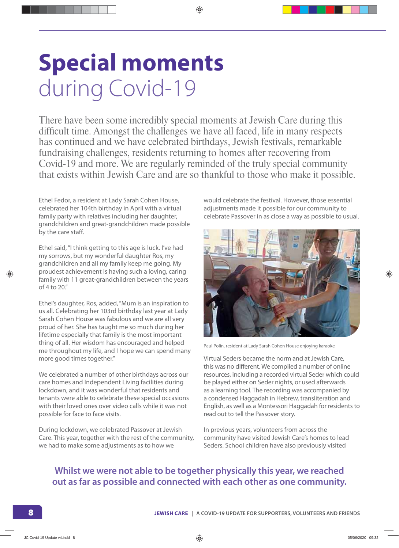# **Special moments** during Covid-19

There have been some incredibly special moments at Jewish Care during this difficult time. Amongst the challenges we have all faced, life in many respects has continued and we have celebrated birthdays, Jewish festivals, remarkable fundraising challenges, residents returning to homes after recovering from Covid-19 and more. We are regularly reminded of the truly special community that exists within Jewish Care and are so thankful to those who make it possible.

Ethel Fedor, a resident at Lady Sarah Cohen House, celebrated her 104th birthday in April with a virtual family party with relatives including her daughter, grandchildren and great-grandchildren made possible by the care staff.

Ethel said, "I think getting to this age is luck. I've had my sorrows, but my wonderful daughter Ros, my grandchildren and all my family keep me going. My proudest achievement is having such a loving, caring family with 11 great-grandchildren between the years of 4 to 20."

Ethel's daughter, Ros, added, "Mum is an inspiration to us all. Celebrating her 103rd birthday last year at Lady Sarah Cohen House was fabulous and we are all very proud of her. She has taught me so much during her lifetime especially that family is the most important thing of all. Her wisdom has encouraged and helped me throughout my life, and I hope we can spend many more good times together."

We celebrated a number of other birthdays across our care homes and Independent Living facilities during lockdown, and it was wonderful that residents and tenants were able to celebrate these special occasions with their loved ones over video calls while it was not possible for face to face visits.

During lockdown, we celebrated Passover at Jewish Care. This year, together with the rest of the community, we had to make some adjustments as to how we

would celebrate the festival. However, those essential adjustments made it possible for our community to celebrate Passover in as close a way as possible to usual.



Paul Polin, resident at Lady Sarah Cohen House enjoying karaoke

Virtual Seders became the norm and at Jewish Care, this was no different. We compiled a number of online resources, including a recorded virtual Seder which could be played either on Seder nights, or used afterwards as a learning tool. The recording was accompanied by a condensed Haggadah in Hebrew, transliteration and English, as well as a Montessori Haggadah for residents to read out to tell the Passover story.

In previous years, volunteers from across the community have visited Jewish Care's homes to lead Seders. School children have also previously visited

#### **Whilst we were not able to be together physically this year, we reached out as far as possible and connected with each other as one community.**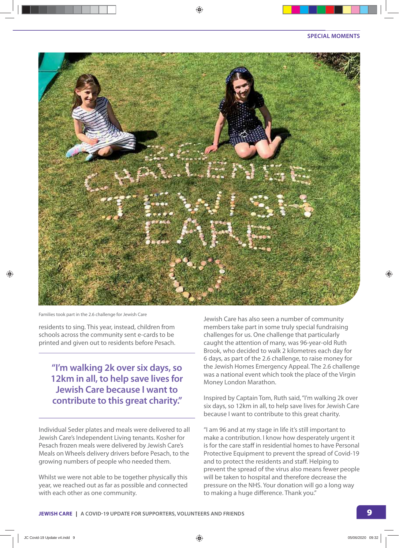

Families took part in the 2.6 challenge for Jewish Care

residents to sing. This year, instead, children from schools across the community sent e-cards to be printed and given out to residents before Pesach.

#### **"I'm walking 2k over six days, so 12km in all, to help save lives for Jewish Care because I want to contribute to this great charity."**

Individual Seder plates and meals were delivered to all Jewish Care's Independent Living tenants. Kosher for Pesach frozen meals were delivered by Jewish Care's Meals on Wheels delivery drivers before Pesach, to the growing numbers of people who needed them.

Whilst we were not able to be together physically this year, we reached out as far as possible and connected with each other as one community.

Jewish Care has also seen a number of community members take part in some truly special fundraising challenges for us. One challenge that particularly caught the attention of many, was 96-year-old Ruth Brook, who decided to walk 2 kilometres each day for 6 days, as part of the 2.6 challenge, to raise money for the Jewish Homes Emergency Appeal. The 2.6 challenge was a national event which took the place of the Virgin Money London Marathon.

Inspired by Captain Tom, Ruth said, "I'm walking 2k over six days, so 12km in all, to help save lives for Jewish Care because I want to contribute to this great charity.

"I am 96 and at my stage in life it's still important to make a contribution. I know how desperately urgent it is for the care staff in residential homes to have Personal Protective Equipment to prevent the spread of Covid-19 and to protect the residents and staff. Helping to prevent the spread of the virus also means fewer people will be taken to hospital and therefore decrease the pressure on the NHS. Your donation will go a long way to making a huge difference. Thank you."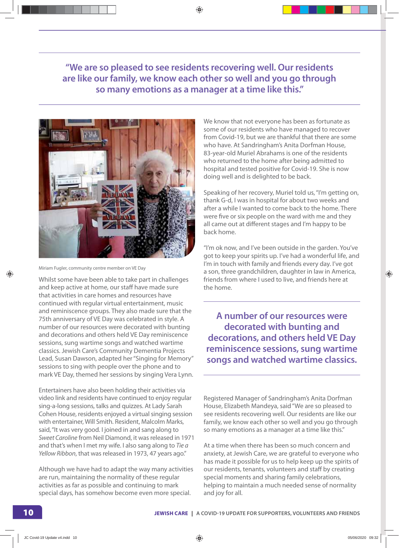**"We are so pleased to see residents recovering well. Our residents are like our family, we know each other so well and you go through so many emotions as a manager at a time like this."**



Miriam Fugler, community centre member on VE Day

Whilst some have been able to take part in challenges and keep active at home, our staff have made sure that activities in care homes and resources have continued with regular virtual entertainment, music and reminiscence groups. They also made sure that the 75th anniversary of VE Day was celebrated in style. A number of our resources were decorated with bunting and decorations and others held VE Day reminiscence sessions, sung wartime songs and watched wartime classics. Jewish Care's Community Dementia Projects Lead, Susan Dawson, adapted her "Singing for Memory" sessions to sing with people over the phone and to mark VE Day, themed her sessions by singing Vera Lynn.

Entertainers have also been holding their activities via video link and residents have continued to enjoy regular sing-a-long sessions, talks and quizzes. At Lady Sarah Cohen House, residents enjoyed a virtual singing session with entertainer, Will Smith. Resident, Malcolm Marks, said, "It was very good. I joined in and sang along to Sweet Caroline from Neil Diamond, it was released in 1971 and that's when I met my wife. I also sang along to Tie a Yellow Ribbon, that was released in 1973, 47 years ago."

Although we have had to adapt the way many activities are run, maintaining the normality of these regular activities as far as possible and continuing to mark special days, has somehow become even more special.

We know that not everyone has been as fortunate as some of our residents who have managed to recover from Covid-19, but we are thankful that there are some who have. At Sandringham's Anita Dorfman House, 83-year-old Muriel Abrahams is one of the residents who returned to the home after being admitted to hospital and tested positive for Covid-19. She is now doing well and is delighted to be back.

Speaking of her recovery, Muriel told us, "I'm getting on, thank G-d, I was in hospital for about two weeks and after a while I wanted to come back to the home. There were five or six people on the ward with me and they all came out at different stages and I'm happy to be back home.

"I'm ok now, and I've been outside in the garden. You've got to keep your spirits up. I've had a wonderful life, and I'm in touch with family and friends every day. I've got a son, three grandchildren, daughter in law in America, friends from where I used to live, and friends here at the home.

**A number of our resources were decorated with bunting and decorations, and others held VE Day reminiscence sessions, sung wartime songs and watched wartime classics.**

Registered Manager of Sandringham's Anita Dorfman House, Elizabeth Mandeya, said "We are so pleased to see residents recovering well. Our residents are like our family, we know each other so well and you go through so many emotions as a manager at a time like this."

At a time when there has been so much concern and anxiety, at Jewish Care, we are grateful to everyone who has made it possible for us to help keep up the spirits of our residents, tenants, volunteers and staff by creating special moments and sharing family celebrations, helping to maintain a much needed sense of normality and joy for all.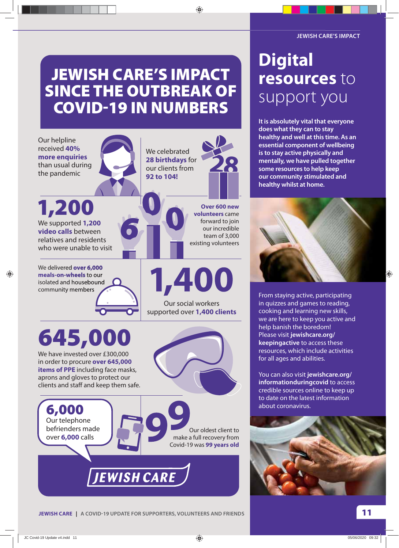### **JEWISH CARE'S IMPACT SINCE THE OUTBREAK OF COVID19 IN NUMBERS**

Our helpline received **40% more enquiries** than usual during the pandemic

We supported **1,200 video calls** between relatives and residents who were unable to visit **1,200**

We delivered **over 6,000 meals-on-wheels** to our isolated and housebound community members

**645,000**

We have invested over £300,000 in order to procure **over 645,000 items of PPE** including face masks, aprons and gloves to protect our clients and staff and keep them safe.

**6,000**

We celebrated **28 birthdays** for our clients from **92 to 104!**



**Over 600 new volunteers** came forward to join our incredible team of 3,000 existing volunteers

,400

Our social workers supported over **1,400 clients**



**It is absolutely vital that everyone does what they can to stay healthy and well at this time. As an essential component of wellbeing is to stay active physically and mentally, we have pulled together some resources to help keep our community stimulated and healthy whilst at home.**



From staying active, participating in quizzes and games to reading, cooking and learning new skills, we are here to keep you active and help banish the boredom! Please visit **jewishcare.org/ keepingactive** to access these resources, which include activities for all ages and abilities.

You can also visit **jewishcare.org/ informationduringcovid** to access credible sources online to keep up to date on the latest information about coronavirus.